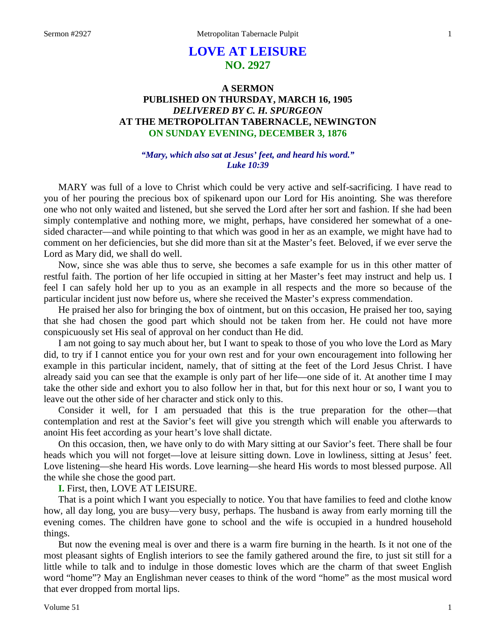# **LOVE AT LEISURE NO. 2927**

## **A SERMON PUBLISHED ON THURSDAY, MARCH 16, 1905** *DELIVERED BY C. H. SPURGEON* **AT THE METROPOLITAN TABERNACLE, NEWINGTON ON SUNDAY EVENING, DECEMBER 3, 1876**

#### *"Mary, which also sat at Jesus' feet, and heard his word." Luke 10:39*

MARY was full of a love to Christ which could be very active and self-sacrificing. I have read to you of her pouring the precious box of spikenard upon our Lord for His anointing. She was therefore one who not only waited and listened, but she served the Lord after her sort and fashion. If she had been simply contemplative and nothing more, we might, perhaps, have considered her somewhat of a onesided character—and while pointing to that which was good in her as an example, we might have had to comment on her deficiencies, but she did more than sit at the Master's feet. Beloved, if we ever serve the Lord as Mary did, we shall do well.

Now, since she was able thus to serve, she becomes a safe example for us in this other matter of restful faith. The portion of her life occupied in sitting at her Master's feet may instruct and help us. I feel I can safely hold her up to you as an example in all respects and the more so because of the particular incident just now before us, where she received the Master's express commendation.

He praised her also for bringing the box of ointment, but on this occasion, He praised her too, saying that she had chosen the good part which should not be taken from her. He could not have more conspicuously set His seal of approval on her conduct than He did.

I am not going to say much about her, but I want to speak to those of you who love the Lord as Mary did, to try if I cannot entice you for your own rest and for your own encouragement into following her example in this particular incident, namely, that of sitting at the feet of the Lord Jesus Christ. I have already said you can see that the example is only part of her life—one side of it. At another time I may take the other side and exhort you to also follow her in that, but for this next hour or so, I want you to leave out the other side of her character and stick only to this.

Consider it well, for I am persuaded that this is the true preparation for the other—that contemplation and rest at the Savior's feet will give you strength which will enable you afterwards to anoint His feet according as your heart's love shall dictate.

On this occasion, then, we have only to do with Mary sitting at our Savior's feet. There shall be four heads which you will not forget—love at leisure sitting down. Love in lowliness, sitting at Jesus' feet. Love listening—she heard His words. Love learning—she heard His words to most blessed purpose. All the while she chose the good part.

**I.** First, then, LOVE AT LEISURE.

That is a point which I want you especially to notice. You that have families to feed and clothe know how, all day long, you are busy—very busy, perhaps. The husband is away from early morning till the evening comes. The children have gone to school and the wife is occupied in a hundred household things.

But now the evening meal is over and there is a warm fire burning in the hearth. Is it not one of the most pleasant sights of English interiors to see the family gathered around the fire, to just sit still for a little while to talk and to indulge in those domestic loves which are the charm of that sweet English word "home"? May an Englishman never ceases to think of the word "home" as the most musical word that ever dropped from mortal lips.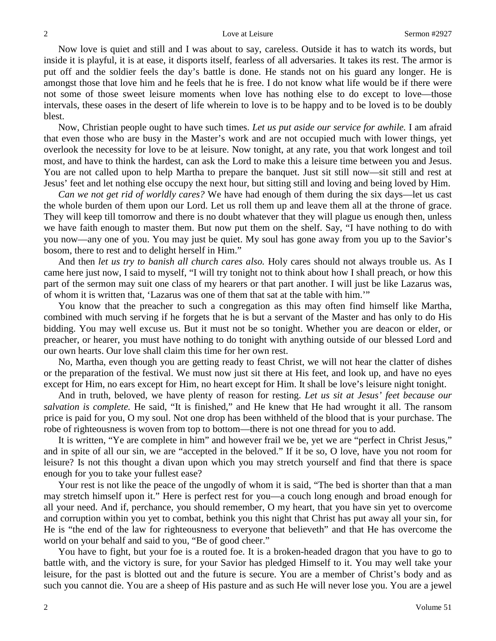Now love is quiet and still and I was about to say, careless. Outside it has to watch its words, but inside it is playful, it is at ease, it disports itself, fearless of all adversaries. It takes its rest. The armor is put off and the soldier feels the day's battle is done. He stands not on his guard any longer. He is amongst those that love him and he feels that he is free. I do not know what life would be if there were not some of those sweet leisure moments when love has nothing else to do except to love—those intervals, these oases in the desert of life wherein to love is to be happy and to be loved is to be doubly blest.

Now, Christian people ought to have such times. *Let us put aside our service for awhile.* I am afraid that even those who are busy in the Master's work and are not occupied much with lower things, yet overlook the necessity for love to be at leisure. Now tonight, at any rate, you that work longest and toil most, and have to think the hardest, can ask the Lord to make this a leisure time between you and Jesus. You are not called upon to help Martha to prepare the banquet. Just sit still now—sit still and rest at Jesus' feet and let nothing else occupy the next hour, but sitting still and loving and being loved by Him.

*Can we not get rid of worldly cares?* We have had enough of them during the six days—let us cast the whole burden of them upon our Lord. Let us roll them up and leave them all at the throne of grace. They will keep till tomorrow and there is no doubt whatever that they will plague us enough then, unless we have faith enough to master them. But now put them on the shelf. Say, "I have nothing to do with you now—any one of you. You may just be quiet. My soul has gone away from you up to the Savior's bosom, there to rest and to delight herself in Him."

And then *let us try to banish all church cares also*. Holy cares should not always trouble us. As I came here just now, I said to myself, "I will try tonight not to think about how I shall preach, or how this part of the sermon may suit one class of my hearers or that part another. I will just be like Lazarus was, of whom it is written that, 'Lazarus was one of them that sat at the table with him.'"

You know that the preacher to such a congregation as this may often find himself like Martha, combined with much serving if he forgets that he is but a servant of the Master and has only to do His bidding. You may well excuse us. But it must not be so tonight. Whether you are deacon or elder, or preacher, or hearer, you must have nothing to do tonight with anything outside of our blessed Lord and our own hearts. Our love shall claim this time for her own rest.

No, Martha, even though you are getting ready to feast Christ, we will not hear the clatter of dishes or the preparation of the festival. We must now just sit there at His feet, and look up, and have no eyes except for Him, no ears except for Him, no heart except for Him. It shall be love's leisure night tonight.

And in truth, beloved, we have plenty of reason for resting. *Let us sit at Jesus' feet because our salvation is complete.* He said, "It is finished," and He knew that He had wrought it all. The ransom price is paid for you, O my soul. Not one drop has been withheld of the blood that is your purchase. The robe of righteousness is woven from top to bottom—there is not one thread for you to add.

It is written, "Ye are complete in him" and however frail we be, yet we are "perfect in Christ Jesus," and in spite of all our sin, we are "accepted in the beloved." If it be so, O love, have you not room for leisure? Is not this thought a divan upon which you may stretch yourself and find that there is space enough for you to take your fullest ease?

Your rest is not like the peace of the ungodly of whom it is said, "The bed is shorter than that a man may stretch himself upon it." Here is perfect rest for you—a couch long enough and broad enough for all your need. And if, perchance, you should remember, O my heart, that you have sin yet to overcome and corruption within you yet to combat, bethink you this night that Christ has put away all your sin, for He is "the end of the law for righteousness to everyone that believeth" and that He has overcome the world on your behalf and said to you, "Be of good cheer."

You have to fight, but your foe is a routed foe. It is a broken-headed dragon that you have to go to battle with, and the victory is sure, for your Savior has pledged Himself to it. You may well take your leisure, for the past is blotted out and the future is secure. You are a member of Christ's body and as such you cannot die. You are a sheep of His pasture and as such He will never lose you. You are a jewel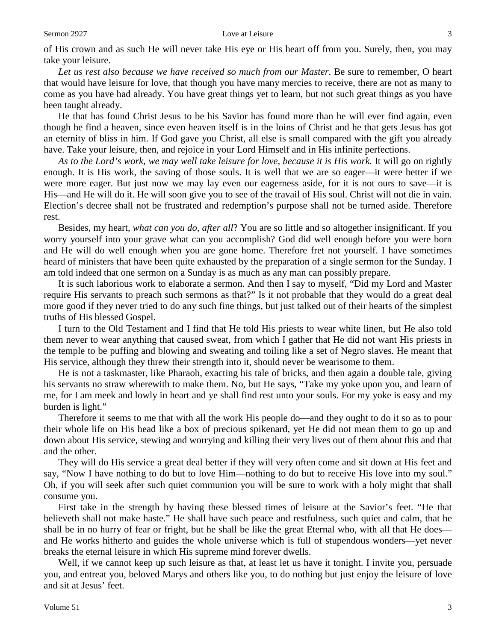of His crown and as such He will never take His eye or His heart off from you. Surely, then, you may take your leisure.

*Let us rest also because we have received so much from our Master*. Be sure to remember, O heart that would have leisure for love, that though you have many mercies to receive, there are not as many to come as you have had already. You have great things yet to learn, but not such great things as you have been taught already.

He that has found Christ Jesus to be his Savior has found more than he will ever find again, even though he find a heaven, since even heaven itself is in the loins of Christ and he that gets Jesus has got an eternity of bliss in him. If God gave you Christ, all else is small compared with the gift you already have. Take your leisure, then, and rejoice in your Lord Himself and in His infinite perfections.

As to the Lord's work, we may well take leisure for love, because it is His work. It will go on rightly enough. It is His work, the saving of those souls. It is well that we are so eager—it were better if we were more eager. But just now we may lay even our eagerness aside, for it is not ours to save—it is His—and He will do it. He will soon give you to see of the travail of His soul. Christ will not die in vain. Election's decree shall not be frustrated and redemption's purpose shall not be turned aside. Therefore rest.

Besides, my heart, *what can you do, after all*? You are so little and so altogether insignificant. If you worry yourself into your grave what can you accomplish? God did well enough before you were born and He will do well enough when you are gone home. Therefore fret not yourself. I have sometimes heard of ministers that have been quite exhausted by the preparation of a single sermon for the Sunday. I am told indeed that one sermon on a Sunday is as much as any man can possibly prepare.

It is such laborious work to elaborate a sermon. And then I say to myself, "Did my Lord and Master require His servants to preach such sermons as that?" Is it not probable that they would do a great deal more good if they never tried to do any such fine things, but just talked out of their hearts of the simplest truths of His blessed Gospel.

I turn to the Old Testament and I find that He told His priests to wear white linen, but He also told them never to wear anything that caused sweat, from which I gather that He did not want His priests in the temple to be puffing and blowing and sweating and toiling like a set of Negro slaves. He meant that His service, although they threw their strength into it, should never be wearisome to them.

He is not a taskmaster, like Pharaoh, exacting his tale of bricks, and then again a double tale, giving his servants no straw wherewith to make them. No, but He says, "Take my yoke upon you, and learn of me, for I am meek and lowly in heart and ye shall find rest unto your souls. For my yoke is easy and my burden is light."

Therefore it seems to me that with all the work His people do—and they ought to do it so as to pour their whole life on His head like a box of precious spikenard, yet He did not mean them to go up and down about His service, stewing and worrying and killing their very lives out of them about this and that and the other.

They will do His service a great deal better if they will very often come and sit down at His feet and say, "Now I have nothing to do but to love Him—nothing to do but to receive His love into my soul." Oh, if you will seek after such quiet communion you will be sure to work with a holy might that shall consume you.

First take in the strength by having these blessed times of leisure at the Savior's feet. "He that believeth shall not make haste." He shall have such peace and restfulness, such quiet and calm, that he shall be in no hurry of fear or fright, but he shall be like the great Eternal who, with all that He does and He works hitherto and guides the whole universe which is full of stupendous wonders—yet never breaks the eternal leisure in which His supreme mind forever dwells.

Well, if we cannot keep up such leisure as that, at least let us have it tonight. I invite you, persuade you, and entreat you, beloved Marys and others like you, to do nothing but just enjoy the leisure of love and sit at Jesus' feet.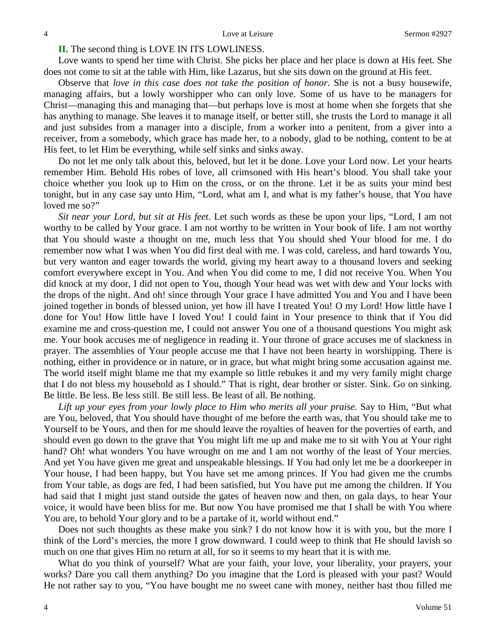**II.** The second thing is LOVE IN ITS LOWLINESS.

Love wants to spend her time with Christ. She picks her place and her place is down at His feet. She does not come to sit at the table with Him, like Lazarus, but she sits down on the ground at His feet.

Observe that *love in this case does not take the position of honor*. She is not a busy housewife, managing affairs, but a lowly worshipper who can only love. Some of us have to be managers for Christ—managing this and managing that—but perhaps love is most at home when she forgets that she has anything to manage. She leaves it to manage itself, or better still, she trusts the Lord to manage it all and just subsides from a manager into a disciple, from a worker into a penitent, from a giver into a receiver, from a somebody, which grace has made her, to a nobody, glad to be nothing, content to be at His feet, to let Him be everything, while self sinks and sinks away.

Do not let me only talk about this, beloved, but let it be done. Love your Lord now. Let your hearts remember Him. Behold His robes of love, all crimsoned with His heart's blood. You shall take your choice whether you look up to Him on the cross, or on the throne. Let it be as suits your mind best tonight, but in any case say unto Him, "Lord, what am I, and what is my father's house, that You have loved me so?"

*Sit near your Lord, but sit at His feet*. Let such words as these be upon your lips, "Lord, I am not worthy to be called by Your grace. I am not worthy to be written in Your book of life. I am not worthy that You should waste a thought on me, much less that You should shed Your blood for me. I do remember now what I was when You did first deal with me. I was cold, careless, and hard towards You, but very wanton and eager towards the world, giving my heart away to a thousand lovers and seeking comfort everywhere except in You. And when You did come to me, I did not receive You. When You did knock at my door, I did not open to You, though Your head was wet with dew and Your locks with the drops of the night. And oh! since through Your grace I have admitted You and You and I have been joined together in bonds of blessed union, yet how ill have I treated You! O my Lord! How little have I done for You! How little have I loved You! I could faint in Your presence to think that if You did examine me and cross-question me, I could not answer You one of a thousand questions You might ask me. Your book accuses me of negligence in reading it. Your throne of grace accuses me of slackness in prayer. The assemblies of Your people accuse me that I have not been hearty in worshipping. There is nothing, either in providence or in nature, or in grace, but what might bring some accusation against me. The world itself might blame me that my example so little rebukes it and my very family might charge that I do not bless my household as I should." That is right, dear brother or sister. Sink. Go on sinking. Be little. Be less. Be less still. Be still less. Be least of all. Be nothing.

*Lift up your eyes from your lowly place to Him who merits all your praise.* Say to Him, "But what are You, beloved, that You should have thought of me before the earth was, that You should take me to Yourself to be Yours, and then for me should leave the royalties of heaven for the poverties of earth, and should even go down to the grave that You might lift me up and make me to sit with You at Your right hand? Oh! what wonders You have wrought on me and I am not worthy of the least of Your mercies. And yet You have given me great and unspeakable blessings. If You had only let me be a doorkeeper in Your house, I had been happy, but You have set me among princes. If You had given me the crumbs from Your table, as dogs are fed, I had been satisfied, but You have put me among the children. If You had said that I might just stand outside the gates of heaven now and then, on gala days, to hear Your voice, it would have been bliss for me. But now You have promised me that I shall be with You where You are, to behold Your glory and to be a partake of it, world without end."

Does not such thoughts as these make you sink? I do not know how it is with you, but the more I think of the Lord's mercies, the more I grow downward. I could weep to think that He should lavish so much on one that gives Him no return at all, for so it seems to my heart that it is with me.

What do you think of yourself? What are your faith, your love, your liberality, your prayers, your works? Dare you call them anything? Do you imagine that the Lord is pleased with your past? Would He not rather say to you, "You have bought me no sweet cane with money, neither hast thou filled me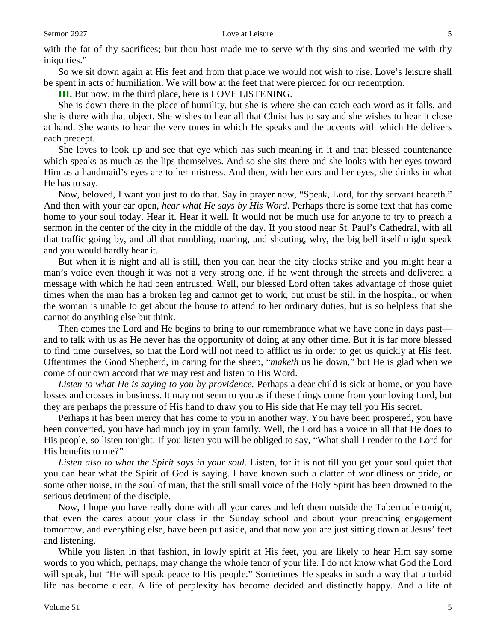with the fat of thy sacrifices; but thou hast made me to serve with thy sins and wearied me with thy iniquities."

So we sit down again at His feet and from that place we would not wish to rise. Love's leisure shall be spent in acts of humiliation. We will bow at the feet that were pierced for our redemption.

**III.** But now, in the third place, here is LOVE LISTENING.

She is down there in the place of humility, but she is where she can catch each word as it falls, and she is there with that object. She wishes to hear all that Christ has to say and she wishes to hear it close at hand. She wants to hear the very tones in which He speaks and the accents with which He delivers each precept.

She loves to look up and see that eye which has such meaning in it and that blessed countenance which speaks as much as the lips themselves. And so she sits there and she looks with her eyes toward Him as a handmaid's eyes are to her mistress. And then, with her ears and her eyes, she drinks in what He has to say.

Now, beloved, I want you just to do that. Say in prayer now, "Speak, Lord, for thy servant heareth." And then with your ear open, *hear what He says by His Word*. Perhaps there is some text that has come home to your soul today. Hear it. Hear it well. It would not be much use for anyone to try to preach a sermon in the center of the city in the middle of the day. If you stood near St. Paul's Cathedral, with all that traffic going by, and all that rumbling, roaring, and shouting, why, the big bell itself might speak and you would hardly hear it.

But when it is night and all is still, then you can hear the city clocks strike and you might hear a man's voice even though it was not a very strong one, if he went through the streets and delivered a message with which he had been entrusted. Well, our blessed Lord often takes advantage of those quiet times when the man has a broken leg and cannot get to work, but must be still in the hospital, or when the woman is unable to get about the house to attend to her ordinary duties, but is so helpless that she cannot do anything else but think.

Then comes the Lord and He begins to bring to our remembrance what we have done in days past and to talk with us as He never has the opportunity of doing at any other time. But it is far more blessed to find time ourselves, so that the Lord will not need to afflict us in order to get us quickly at His feet. Oftentimes the Good Shepherd, in caring for the sheep, "*maketh* us lie down," but He is glad when we come of our own accord that we may rest and listen to His Word.

*Listen to what He is saying to you by providence.* Perhaps a dear child is sick at home, or you have losses and crosses in business. It may not seem to you as if these things come from your loving Lord, but they are perhaps the pressure of His hand to draw you to His side that He may tell you His secret.

Perhaps it has been mercy that has come to you in another way. You have been prospered, you have been converted, you have had much joy in your family. Well, the Lord has a voice in all that He does to His people, so listen tonight. If you listen you will be obliged to say, "What shall I render to the Lord for His benefits to me?"

*Listen also to what the Spirit says in your soul*. Listen, for it is not till you get your soul quiet that you can hear what the Spirit of God is saying. I have known such a clatter of worldliness or pride, or some other noise, in the soul of man, that the still small voice of the Holy Spirit has been drowned to the serious detriment of the disciple.

Now, I hope you have really done with all your cares and left them outside the Tabernacle tonight, that even the cares about your class in the Sunday school and about your preaching engagement tomorrow, and everything else, have been put aside, and that now you are just sitting down at Jesus' feet and listening.

While you listen in that fashion, in lowly spirit at His feet, you are likely to hear Him say some words to you which, perhaps, may change the whole tenor of your life. I do not know what God the Lord will speak, but "He will speak peace to His people." Sometimes He speaks in such a way that a turbid life has become clear. A life of perplexity has become decided and distinctly happy. And a life of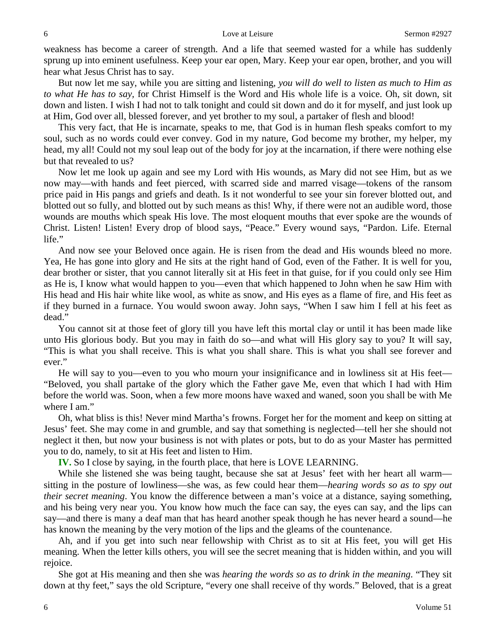weakness has become a career of strength. And a life that seemed wasted for a while has suddenly sprung up into eminent usefulness. Keep your ear open, Mary. Keep your ear open, brother, and you will hear what Jesus Christ has to say.

But now let me say, while you are sitting and listening, *you will do well to listen as much to Him as to what He has to say,* for Christ Himself is the Word and His whole life is a voice. Oh, sit down, sit down and listen. I wish I had not to talk tonight and could sit down and do it for myself, and just look up at Him, God over all, blessed forever, and yet brother to my soul, a partaker of flesh and blood!

This very fact, that He is incarnate, speaks to me, that God is in human flesh speaks comfort to my soul, such as no words could ever convey. God in my nature, God become my brother, my helper, my head, my all! Could not my soul leap out of the body for joy at the incarnation, if there were nothing else but that revealed to us?

Now let me look up again and see my Lord with His wounds, as Mary did not see Him, but as we now may—with hands and feet pierced, with scarred side and marred visage—tokens of the ransom price paid in His pangs and griefs and death. Is it not wonderful to see your sin forever blotted out, and blotted out so fully, and blotted out by such means as this! Why, if there were not an audible word, those wounds are mouths which speak His love. The most eloquent mouths that ever spoke are the wounds of Christ. Listen! Listen! Every drop of blood says, "Peace." Every wound says, "Pardon. Life. Eternal life."

And now see your Beloved once again. He is risen from the dead and His wounds bleed no more. Yea, He has gone into glory and He sits at the right hand of God, even of the Father. It is well for you, dear brother or sister, that you cannot literally sit at His feet in that guise, for if you could only see Him as He is, I know what would happen to you—even that which happened to John when he saw Him with His head and His hair white like wool, as white as snow, and His eyes as a flame of fire, and His feet as if they burned in a furnace. You would swoon away. John says, "When I saw him I fell at his feet as dead."

You cannot sit at those feet of glory till you have left this mortal clay or until it has been made like unto His glorious body. But you may in faith do so—and what will His glory say to you? It will say, "This is what you shall receive. This is what you shall share. This is what you shall see forever and ever."

He will say to you—even to you who mourn your insignificance and in lowliness sit at His feet— "Beloved, you shall partake of the glory which the Father gave Me, even that which I had with Him before the world was. Soon, when a few more moons have waxed and waned, soon you shall be with Me where I am."

Oh, what bliss is this! Never mind Martha's frowns. Forget her for the moment and keep on sitting at Jesus' feet. She may come in and grumble, and say that something is neglected—tell her she should not neglect it then, but now your business is not with plates or pots, but to do as your Master has permitted you to do, namely, to sit at His feet and listen to Him.

**IV.** So I close by saying, in the fourth place, that here is LOVE LEARNING.

While she listened she was being taught, because she sat at Jesus' feet with her heart all warm sitting in the posture of lowliness—she was, as few could hear them—*hearing words so as to spy out their secret meaning*. You know the difference between a man's voice at a distance, saying something, and his being very near you. You know how much the face can say, the eyes can say, and the lips can say—and there is many a deaf man that has heard another speak though he has never heard a sound—he has known the meaning by the very motion of the lips and the gleams of the countenance.

Ah, and if you get into such near fellowship with Christ as to sit at His feet, you will get His meaning. When the letter kills others, you will see the secret meaning that is hidden within, and you will rejoice.

She got at His meaning and then she was *hearing the words so as to drink in the meaning*. "They sit down at thy feet," says the old Scripture, "every one shall receive of thy words." Beloved, that is a great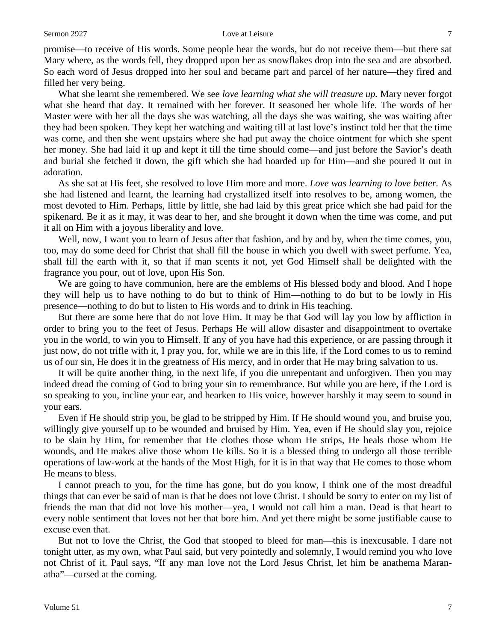#### Sermon 2927 Love at Leisure 7

promise—to receive of His words. Some people hear the words, but do not receive them—but there sat Mary where, as the words fell, they dropped upon her as snowflakes drop into the sea and are absorbed. So each word of Jesus dropped into her soul and became part and parcel of her nature—they fired and filled her very being.

What she learnt she remembered. We see *love learning what she will treasure up*. Mary never forgot what she heard that day. It remained with her forever. It seasoned her whole life. The words of her Master were with her all the days she was watching, all the days she was waiting, she was waiting after they had been spoken. They kept her watching and waiting till at last love's instinct told her that the time was come, and then she went upstairs where she had put away the choice ointment for which she spent her money. She had laid it up and kept it till the time should come—and just before the Savior's death and burial she fetched it down, the gift which she had hoarded up for Him—and she poured it out in adoration.

As she sat at His feet, she resolved to love Him more and more. *Love was learning to love better.* As she had listened and learnt, the learning had crystallized itself into resolves to be, among women, the most devoted to Him. Perhaps, little by little, she had laid by this great price which she had paid for the spikenard. Be it as it may, it was dear to her, and she brought it down when the time was come, and put it all on Him with a joyous liberality and love.

Well, now, I want you to learn of Jesus after that fashion, and by and by, when the time comes, you, too, may do some deed for Christ that shall fill the house in which you dwell with sweet perfume. Yea, shall fill the earth with it, so that if man scents it not, yet God Himself shall be delighted with the fragrance you pour, out of love, upon His Son.

We are going to have communion, here are the emblems of His blessed body and blood. And I hope they will help us to have nothing to do but to think of Him—nothing to do but to be lowly in His presence—nothing to do but to listen to His words and to drink in His teaching.

But there are some here that do not love Him. It may be that God will lay you low by affliction in order to bring you to the feet of Jesus. Perhaps He will allow disaster and disappointment to overtake you in the world, to win you to Himself. If any of you have had this experience, or are passing through it just now, do not trifle with it, I pray you, for, while we are in this life, if the Lord comes to us to remind us of our sin, He does it in the greatness of His mercy, and in order that He may bring salvation to us.

It will be quite another thing, in the next life, if you die unrepentant and unforgiven. Then you may indeed dread the coming of God to bring your sin to remembrance. But while you are here, if the Lord is so speaking to you, incline your ear, and hearken to His voice, however harshly it may seem to sound in your ears.

Even if He should strip you, be glad to be stripped by Him. If He should wound you, and bruise you, willingly give yourself up to be wounded and bruised by Him. Yea, even if He should slay you, rejoice to be slain by Him, for remember that He clothes those whom He strips, He heals those whom He wounds, and He makes alive those whom He kills. So it is a blessed thing to undergo all those terrible operations of law-work at the hands of the Most High, for it is in that way that He comes to those whom He means to bless.

I cannot preach to you, for the time has gone, but do you know, I think one of the most dreadful things that can ever be said of man is that he does not love Christ. I should be sorry to enter on my list of friends the man that did not love his mother—yea, I would not call him a man. Dead is that heart to every noble sentiment that loves not her that bore him. And yet there might be some justifiable cause to excuse even that.

But not to love the Christ, the God that stooped to bleed for man—this is inexcusable. I dare not tonight utter, as my own, what Paul said, but very pointedly and solemnly, I would remind you who love not Christ of it. Paul says, "If any man love not the Lord Jesus Christ, let him be anathema Maranatha"—cursed at the coming.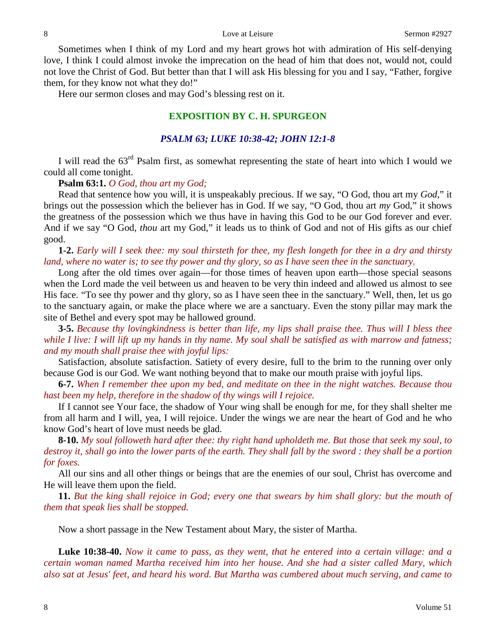Sometimes when I think of my Lord and my heart grows hot with admiration of His self-denying love, I think I could almost invoke the imprecation on the head of him that does not, would not, could not love the Christ of God. But better than that I will ask His blessing for you and I say, "Father, forgive them, for they know not what they do!"

Here our sermon closes and may God's blessing rest on it.

#### **EXPOSITION BY C. H. SPURGEON**

#### *PSALM 63; LUKE 10:38-42; JOHN 12:1-8*

I will read the  $63<sup>rd</sup>$  Psalm first, as somewhat representing the state of heart into which I would we could all come tonight.

#### **Psalm 63:1.** *O God, thou art my God;*

Read that sentence how you will, it is unspeakably precious. If we say, "O God, thou art my *God*," it brings out the possession which the believer has in God. If we say, "O God, thou art *my* God," it shows the greatness of the possession which we thus have in having this God to be our God forever and ever. And if we say "O God, *thou* art my God," it leads us to think of God and not of His gifts as our chief good.

**1-2.** *Early will I seek thee: my soul thirsteth for thee, my flesh longeth for thee in a dry and thirsty land, where no water is; to see thy power and thy glory, so as I have seen thee in the sanctuary.*

Long after the old times over again—for those times of heaven upon earth—those special seasons when the Lord made the veil between us and heaven to be very thin indeed and allowed us almost to see His face. "To see thy power and thy glory, so as I have seen thee in the sanctuary." Well, then, let us go to the sanctuary again, or make the place where we are a sanctuary. Even the stony pillar may mark the site of Bethel and every spot may be hallowed ground.

**3-5.** *Because thy lovingkindness is better than life, my lips shall praise thee. Thus will I bless thee while I live: I will lift up my hands in thy name. My soul shall be satisfied as with marrow and fatness; and my mouth shall praise thee with joyful lips:*

Satisfaction, absolute satisfaction. Satiety of every desire, full to the brim to the running over only because God is our God. We want nothing beyond that to make our mouth praise with joyful lips.

**6-7.** *When I remember thee upon my bed, and meditate on thee in the night watches. Because thou hast been my help, therefore in the shadow of thy wings will I rejoice.*

If I cannot see Your face, the shadow of Your wing shall be enough for me, for they shall shelter me from all harm and I will, yea, I will rejoice. Under the wings we are near the heart of God and he who know God's heart of love must needs be glad.

**8-10.** *My soul followeth hard after thee: thy right hand upholdeth me. But those that seek my soul, to destroy it, shall go into the lower parts of the earth. They shall fall by the sword : they shall be a portion for foxes.*

All our sins and all other things or beings that are the enemies of our soul, Christ has overcome and He will leave them upon the field.

**11.** *But the king shall rejoice in God; every one that swears by him shall glory: but the mouth of them that speak lies shall be stopped.* 

Now a short passage in the New Testament about Mary, the sister of Martha.

**Luke 10:38-40.** *Now it came to pass, as they went, that he entered into a certain village: and a certain woman named Martha received him into her house. And she had a sister called Mary, which also sat at Jesus' feet, and heard his word. But Martha was cumbered about much serving, and came to*